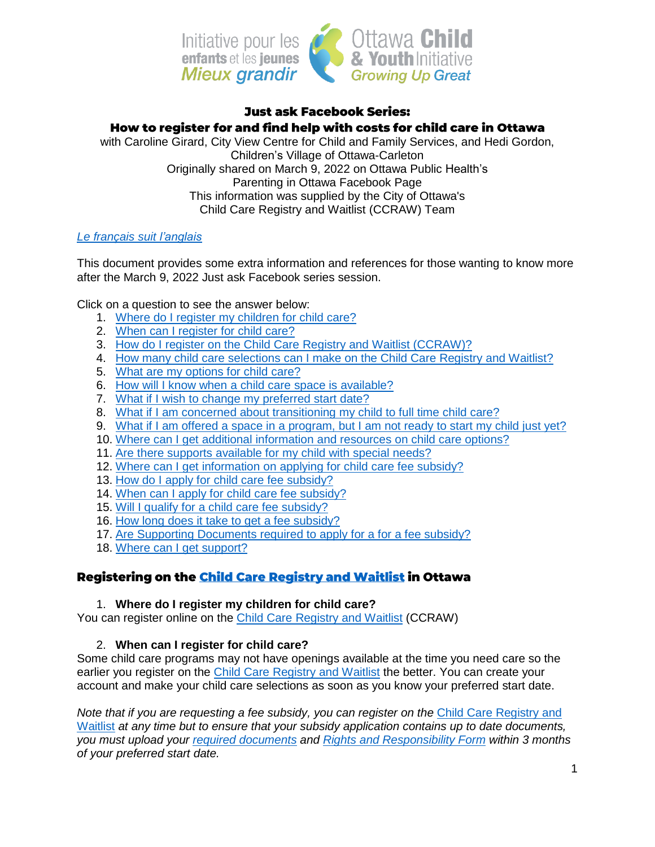

### **Just ask Facebook Series:** How to register for and find help with costs for child care in Ottawa with Caroline Girard, City View Centre for Child and Family Services, and Hedi Gordon, Children's Village of Ottawa-Carleton Originally shared on March 9, 2022 on Ottawa Public Health's Parenting in Ottawa Facebook Page This information was supplied by the City of Ottawa's Child Care Registry and Waitlist (CCRAW) Team

## *Le français suit [l'anglais](#page-4-0)*

This document provides some extra information and references for those wanting to know more after the March 9, 2022 Just ask Facebook series session.

Click on a question to see the answer below:

- 1. Where do I register my [children](#page-0-0) for child care?
- 2. When can I [register](#page-0-1) for child care?
- 3. How do I register on the Child Care Registry and Waitlist [\(CCRAW\)?](#page-1-0)
- 4. How many child care [selections](#page-1-1) can I make on the Child Care Registry and Waitlist?
- 5. What are my [options](#page-1-2) for child care?
- 6. How will I know when a child care space is [available?](#page-1-3)
- 7. What if I wish to change my [preferred](#page-1-4) start date?
- 8. What if I am concerned about [transitioning](#page-1-5) my child to full time child care?
- 9. What if I am offered a space in a [program,](#page-1-6) but I am not ready to start my child just yet?
- 10. Where can I get additional [information](#page-2-0) and resources on child care options?
- 11. Are there supports [available](#page-2-1) for my child with special needs?
- 12. Where can I get [information](#page-2-2) on applying for child care fee subsidy?
- 13. How do I apply for child care fee [subsidy?](#page-2-3)
- 14. When can I apply for child care fee [subsidy?](#page-2-4)
- 15. Will I qualify for a child care fee [subsidy?](#page-2-5)
- 16. How long does it take to get a fee [subsidy?](#page-2-6)
- 17. Are Supporting [Documents](#page-3-0) required to apply for a for a fee subsidy?
- 18. Where can I get [support?](#page-3-1)

## Registering on the Child Care Registry and Waitlist in Ottawa

#### 1. **Where do I register my children for child care?**

<span id="page-0-0"></span>You can register online on the Child Care [Registry](https://onehsn.com/Ottawa/ux_2_0) and Waitlist (CCRAW)

## 2. **When can I register for child care?**

<span id="page-0-1"></span>Some child care programs may not have openings available at the time you need care so the earlier you register on the Child Care [Registry](https://onehsn.com/Ottawa/ux_2_0) and Waitlist the better. You can create your account and make your child care selections as soon as you know your preferred start date.

*Note that if you are requesting a fee subsidy, you can register on the* Child Care [Registry](https://onehsn.com/Ottawa/ux_2_0) and [Waitlist](https://onehsn.com/Ottawa/ux_2_0) *at any time but to ensure that your subsidy application contains up to date documents, you must upload your required [documents](https://app06.ottawa.ca/online_services/forms/childcare/documentChecklist_en.pdf) and Rights and [Responsibility](https://app06.ottawa.ca/online_services/forms/childcare/rr_child_care_fee_subsidy_en.pdf) Form within 3 months of your preferred start date.*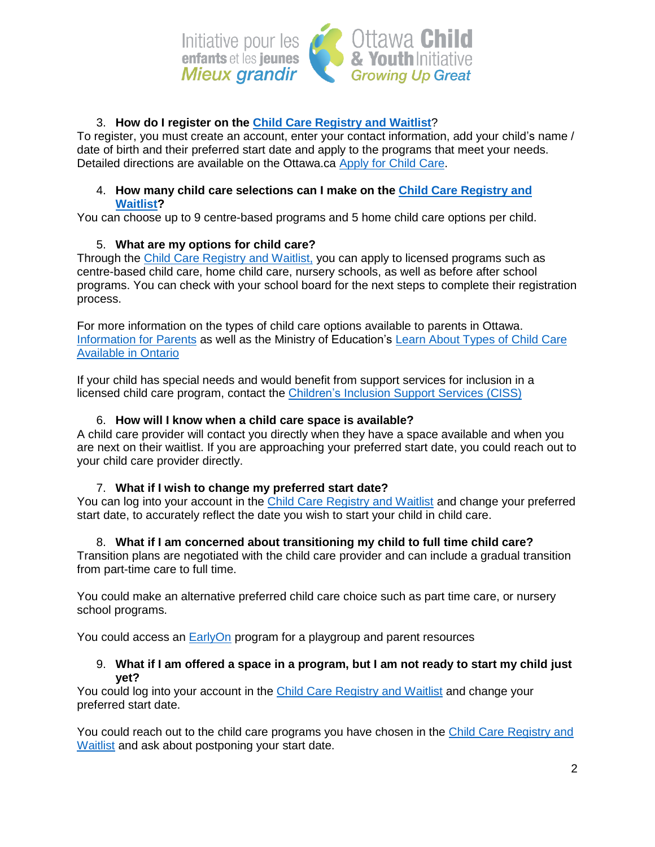

## 3. **How do I register on the Child Care [Registry](https://onehsn.com/Ottawa/ux_2_0) and Waitlist**?

<span id="page-1-0"></span>To register, you must create an account, enter your contact information, add your child's name / date of birth and their preferred start date and apply to the programs that meet your needs. Detailed directions are available on the Ottawa.ca [Apply](https://ottawa.ca/en/family-and-social-services/childrens-services/apply-child-care) for Child Care.

### <span id="page-1-1"></span>4. **How many child care selections can I make on the Child Care [Registry](https://onehsn.com/Ottawa/en/Account/Register) and [Waitlist?](https://onehsn.com/Ottawa/en/Account/Register)**

You can choose up to 9 centre-based programs and 5 home child care options per child.

## 5. **What are my options for child care?**

<span id="page-1-2"></span>Through the Child Care [Registry](https://onehsn.com/Ottawa/ux_2_0) and Waitlist, you can apply to licensed programs such as centre-based child care, home child care, nursery schools, as well as before after school programs. You can check with your school board for the next steps to complete their registration process.

For more information on the types of child care options available to parents in Ottawa. [Information](https://ottawa.ca/en/family-and-social-services/childrens-services/information-parents) for Parents as well as the Ministry of Education's Learn About [Types](https://www.ontario.ca/page/types-child-care) of Child Care [Available](https://www.ontario.ca/page/types-child-care) in Ontario

If your child has special needs and would benefit from support services for inclusion in a licensed child care program, contact the [Children's](https://www.afchildrensservices.ca/support-and-services/childrens-inclusion-support-services/) Inclusion Support Services (CISS)

## 6. **How will I know when a child care space is available?**

<span id="page-1-3"></span>A child care provider will contact you directly when they have a space available and when you are next on their waitlist. If you are approaching your preferred start date, you could reach out to your child care provider directly.

## 7. **What if I wish to change my preferred start date?**

<span id="page-1-4"></span>You can log into your account in the Child Care [Registry](https://onehsn.com/Ottawa/ux_2_0) and Waitlist and change your preferred start date, to accurately reflect the date you wish to start your child in child care.

## <span id="page-1-5"></span>8. **What if I am concerned about transitioning my child to full time child care?**

Transition plans are negotiated with the child care provider and can include a gradual transition from part-time care to full time.

You could make an alternative preferred child care choice such as part time care, or nursery school programs.

You could access an [EarlyOn](https://ottawa.ca/en/family-and-social-services/childrens-services/earlyon) program for a playgroup and parent resources

### <span id="page-1-6"></span>9. What if I am offered a space in a program, but I am not ready to start my child just **yet?**

You could log into your account in the Child Care [Registry](https://onehsn.com/Ottawa/ux_2_0) and Waitlist and change your preferred start date.

You could reach out to the child care programs you have chosen in the Child Care [Registry](https://onehsn.com/Ottawa/ux_2_0) and [Waitlist](https://onehsn.com/Ottawa/ux_2_0) and ask about postponing your start date.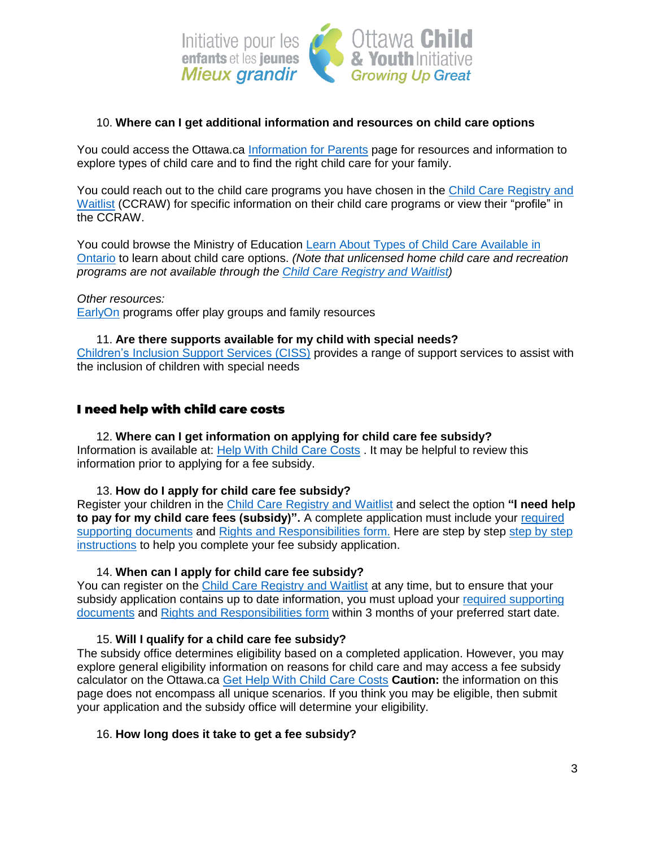

## <span id="page-2-0"></span>10. **Where can I get additional information and resources on child care options**

You could access the Ottawa.ca [Information](https://ottawa.ca/en/family-and-social-services/childrens-services/information-parents) for Parents page for resources and information to explore types of child care and to find the right child care for your family.

You could reach out to the child care programs you have chosen in the Child Care [Registry](https://onehsn.com/Ottawa/ux_2_0) and [Waitlist](https://onehsn.com/Ottawa/ux_2_0) (CCRAW) for specific information on their child care programs or view their "profile" in the CCRAW.

You could browse the Ministry of Education Learn About Types of Child Care [Available](https://www.ontario.ca/page/types-child-care) in [Ontario](https://www.ontario.ca/page/types-child-care) to learn about child care options. *(Note that unlicensed home child care and recreation programs are not available through the Child Care [Registry](https://onehsn.com/Ottawa/ux_2_0) and Waitlist)*

*Other resources:* [EarlyOn](https://ottawa.ca/en/family-and-social-services/childrens-services/earlyon) programs offer play groups and family resources

<span id="page-2-1"></span>11. **Are there supports available for my child with special needs?** [Children's](https://www.afchildrensservices.ca/support-and-services/childrens-inclusion-support-services/) Inclusion Support Services (CISS) provides a range of support services to assist with the inclusion of children with special needs

## I need help with child care costs

<span id="page-2-2"></span>12. **Where can I get information on applying for child care fee subsidy?** Information is available at: Help With Child Care [Costs](https://ottawa.ca/en/family-and-social-services/childrens-services/get-help-your-child-care-costs) . It may be helpful to review this information prior to applying for a fee subsidy.

13. **How do I apply for child care fee subsidy?**

<span id="page-2-3"></span>Register your children in the Child Care [Registry](https://onehsn.com/Ottawa/ux_2_0) and Waitlist and select the option **"I need help to pay for my child care fees (subsidy)".** A complete application must include your [required](https://app06.ottawa.ca/online_services/forms/childcare/documentChecklist_en.pdf) supporting [documents](https://app06.ottawa.ca/online_services/forms/childcare/documentChecklist_en.pdf) and Rights and [Responsibilities](https://app06.ottawa.ca/online_services/forms/childcare/rr_child_care_fee_subsidy_en.pdf) form. Here are [step](https://onehsn.com/emailassets/Ottawa/SubsidyJobAid.pdf) by step by step by step [instructions](https://onehsn.com/emailassets/Ottawa/SubsidyJobAid.pdf) to help you complete your fee subsidy application.

#### 14. **When can I apply for child care fee subsidy?**

<span id="page-2-4"></span>You can register on the Child Care [Registry](https://onehsn.com/Ottawa/ux_2_0) and Waitlist at any time, but to ensure that your subsidy application contains up to date information, you must upload your required [supporting](https://app06.ottawa.ca/online_services/forms/childcare/documentChecklist_en.pdf) [documents](https://app06.ottawa.ca/online_services/forms/childcare/documentChecklist_en.pdf) and Rights and [Responsibilities](https://app06.ottawa.ca/online_services/forms/childcare/rr_child_care_fee_subsidy_en.pdf) form within 3 months of your preferred start date.

#### 15. **Will I qualify for a child care fee subsidy?**

<span id="page-2-5"></span>The subsidy office determines eligibility based on a completed application. However, you may explore general eligibility information on reasons for child care and may access a fee subsidy calculator on the Ottawa.ca Get Help With Child Care [Costs](https://ottawa.ca/en/family-and-social-services/childrens-services/get-help-your-child-care-costs) **Caution:** the information on this page does not encompass all unique scenarios. If you think you may be eligible, then submit your application and the subsidy office will determine your eligibility.

#### <span id="page-2-6"></span>16. **How long does it take to get a fee subsidy?**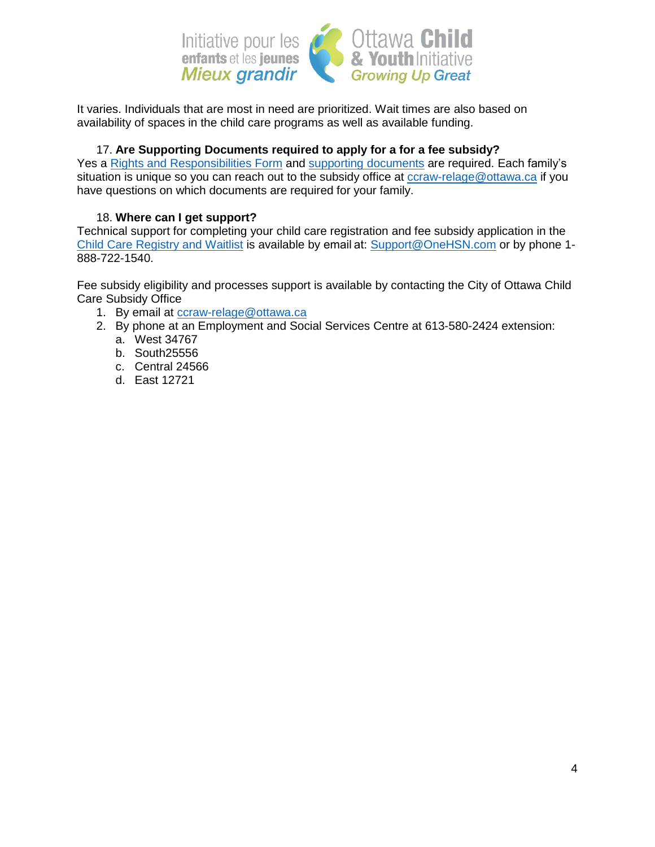

It varies. Individuals that are most in need are prioritized. Wait times are also based on availability of spaces in the child care programs as well as available funding.

## 17. **Are Supporting Documents required to apply for a for a fee subsidy?**

<span id="page-3-0"></span>Yes a Rights and [Responsibilities](https://app06.ottawa.ca/online_services/forms/childcare/rr_child_care_fee_subsidy_en.pdf) Form and supporting [documents](https://app06.ottawa.ca/online_services/forms/childcare/documentChecklist_en.pdf) are required. Each family's situation is unique so you can reach out to the subsidy office at [ccraw-relage@ottawa.ca](mailto:ccraw-relage@ottawa.ca) if you have questions on which documents are required for your family.

## 18. **Where can I get support?**

<span id="page-3-1"></span>Technical support for completing your child care registration and fee subsidy application in the Child Care [Registry](https://onehsn.com/Ottawa/ux_2_0) and Waitlist is available by email at: [Support@OneHSN.com](mailto:Support@OneHSN.com) or by phone 1- 888-722-1540.

Fee subsidy eligibility and processes support is available by contacting the City of Ottawa Child Care Subsidy Office

1. By email at [ccraw-relage@ottawa.ca](mailto:ccraw-relage@ottawa.ca)

- 2. By phone at an Employment and Social Services Centre at 613-580-2424 extension:
	- a. West 34767
	- b. South25556
	- c. Central 24566
	- d. East 12721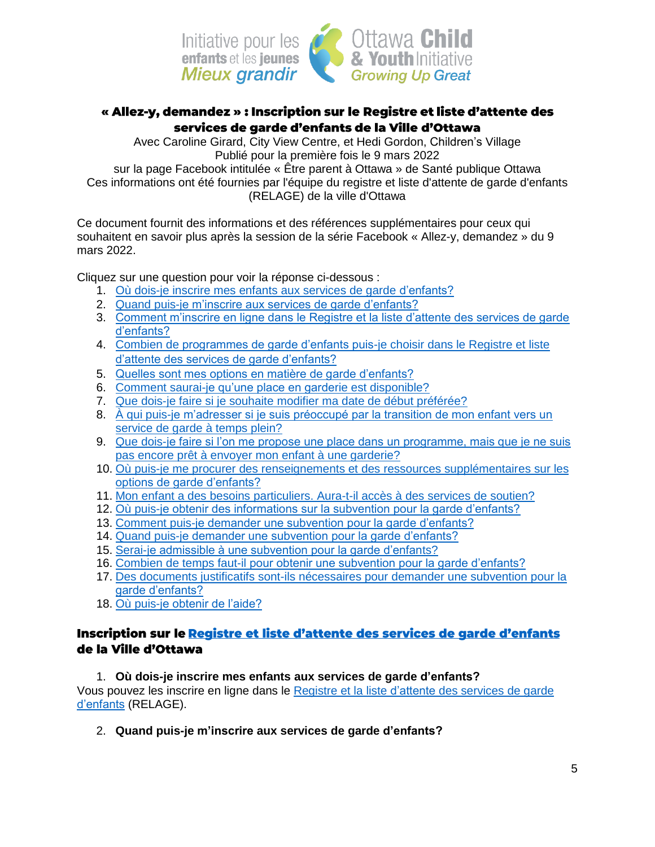

# <span id="page-4-0"></span>« Allez-y, demandez » : Inscription sur le Registre et liste d'attente des services de garde d'enfants de la Ville d'Ottawa

Avec Caroline Girard, City View Centre, et Hedi Gordon, Children's Village Publié pour la première fois le 9 mars 2022

sur la page Facebook intitulée « Être parent à Ottawa » de Santé publique Ottawa Ces informations ont été fournies par l'équipe du registre et liste d'attente de garde d'enfants (RELAGE) de la ville d'Ottawa

Ce document fournit des informations et des références supplémentaires pour ceux qui souhaitent en savoir plus après la session de la série Facebook « Allez-y, demandez » du 9 mars 2022.

Cliquez sur une question pour voir la réponse ci-dessous :

- 1. [Où dois-je inscrire mes enfants aux services de garde d'enfants?](#page-4-1)
- 2. [Quand puis-je m'inscrire aux services de garde d'enfants?](#page-4-2)
- 3. [Comment m'inscrire en ligne dans le Registre et la liste d'attente des services de garde](#page-5-0)  [d'enfants?](#page-5-0)
- 4. [Combien de programmes de garde d'enfants puis-je choisir dans le Registre et liste](#page-5-1)  [d'attente des services de garde d'enfants?](#page-5-1)
- 5. [Quelles sont mes options en matière de garde d'enfants?](#page-5-2)
- 6. [Comment saurai-je qu'une place en garderie est disponible?](#page-5-3)
- 7. [Que dois-je faire si je souhaite modifier ma date de début préférée?](#page-5-4)
- 8. [À qui puis-je m'adresser si je suis préoccupé par la transition de mon enfant vers un](#page-6-0)  [service de garde à temps plein?](#page-6-0)
- 9. [Que dois-je faire si l'on me propose une place dans un programme, mais que je ne suis](#page-6-1)  [pas encore prêt à envoyer mon enfant à une garderie?](#page-6-1)
- 10. [Où puis-je me procurer des renseignements et des ressources supplémentaires sur les](#page-6-2)  [options de garde d'enfants?](#page-6-2)
- 11. [Mon enfant a des besoins particuliers. Aura-t-il accès à des services de soutien?](#page-6-3)
- 12. [Où puis-je obtenir des informations sur la subvention pour la garde d'enfants?](#page-6-4)
- 13. [Comment puis-je demander une subvention pour la garde d'enfants?](#page-7-0)
- 14. [Quand puis-je demander une subvention pour la garde d'enfants?](#page-7-1)
- 15. [Serai-je admissible à une subvention pour la garde d'enfants?](#page-7-2)
- 16. [Combien de temps faut-il pour obtenir une subvention pour la garde d'enfants?](#page-7-3)
- 17. [Des documents justificatifs sont-ils nécessaires pour demander une subvention pour la](#page-7-4)  [garde d'enfants?](#page-7-4)
- 18. [Où puis-je obtenir de l'aide?](#page-7-5)

# Inscription sur le Registre et liste d'attente des services de garde d'enfants de la Ville d'Ottawa

<span id="page-4-1"></span>1. **Où dois-je inscrire mes enfants aux services de garde d'enfants?** Vous pouvez les inscrire en ligne dans le Registre et la liste [d'attente](https://onehsn.com/Ottawa/fr/ux_2_0) des services de garde [d'enfants](https://onehsn.com/Ottawa/fr/ux_2_0) (RELAGE).

<span id="page-4-2"></span>2. **Quand puis-je m'inscrire aux services de garde d'enfants?**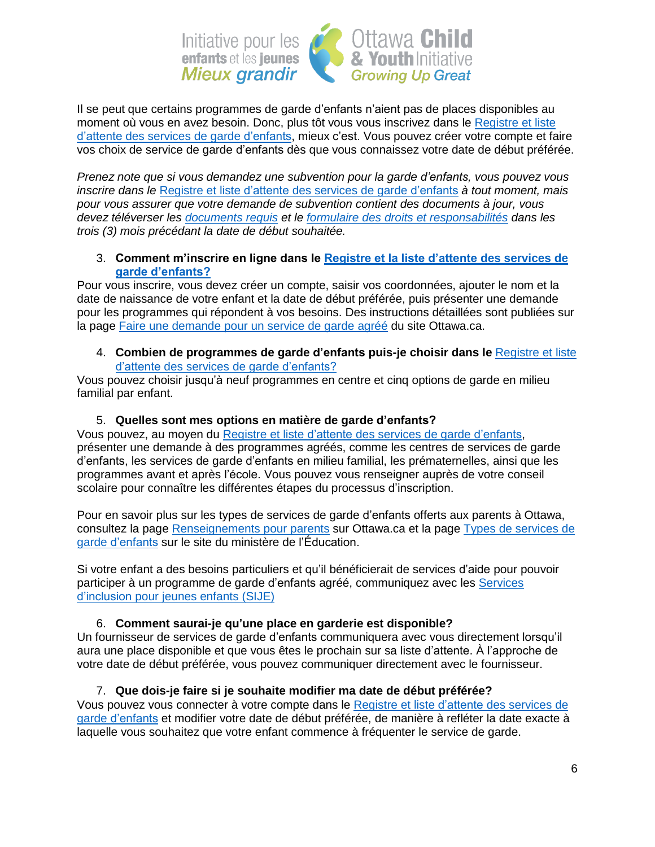

Il se peut que certains programmes de garde d'enfants n'aient pas de places disponibles au moment où vous en avez besoin. Donc, plus tôt vous vous inscrivez dans le [Registre](https://onehsn.com/Ottawa/fr/ux_2_0) et liste d'attente des services de garde [d'enfants,](https://onehsn.com/Ottawa/fr/ux_2_0) mieux c'est. Vous pouvez créer votre compte et faire vos choix de service de garde d'enfants dès que vous connaissez votre date de début préférée.

*Prenez note que si vous demandez une subvention pour la garde d'enfants, vous pouvez vous inscrire dans le* Registre et liste d'attente des services de garde [d'enfants](https://onehsn.com/Ottawa/fr/ux_2_0) *à tout moment, mais pour vous assurer que votre demande de subvention contient des documents à jour, vous devez téléverser les [documents](https://app06.ottawa.ca/online_services/forms/childcare/documentChecklist_fr.pdf) requis et le formulaire des droits et [responsabilités](https://app06.ottawa.ca/online_services/forms/childcare/rr_child_care_fee_subsidy_fr.pdf) dans les trois (3) mois précédant la date de début souhaitée.*

<span id="page-5-0"></span>3. **Comment m'inscrire en ligne dans le [Registre et la liste d'attente des services de](https://onehsn.com/Ottawa/fr/ux_2_0)  [garde d'enfants?](https://onehsn.com/Ottawa/fr/ux_2_0)**

Pour vous inscrire, vous devez créer un compte, saisir vos coordonnées, ajouter le nom et la date de naissance de votre enfant et la date de début préférée, puis présenter une demande pour les programmes qui répondent à vos besoins. Des instructions détaillées sont publiées sur la page Faire une [demande](https://ottawa.ca/fr/famille-et-services-sociaux/services-lenfance/faire-une-demande-pour-un-service-de-garde-agree) pour un service de garde agréé du site Ottawa.ca.

<span id="page-5-1"></span>4. **Combien de programmes de garde d'enfants puis-je choisir dans le** [Registre](https://onehsn.com/Ottawa/fr/ux_2_0/Landing/Info) et liste d'attente des services de garde [d'enfants?](https://onehsn.com/Ottawa/fr/ux_2_0/Landing/Info)

Vous pouvez choisir jusqu'à neuf programmes en centre et cinq options de garde en milieu familial par enfant.

### 5. **Quelles sont mes options en matière de garde d'enfants?**

<span id="page-5-2"></span>Vous pouvez, au moyen du Registre et liste d'attente des services de garde [d'enfants,](https://onehsn.com/Ottawa/fr/ux_2_0) présenter une demande à des programmes agréés, comme les centres de services de garde d'enfants, les services de garde d'enfants en milieu familial, les prématernelles, ainsi que les programmes avant et après l'école. Vous pouvez vous renseigner auprès de votre conseil scolaire pour connaître les différentes étapes du processus d'inscription.

Pour en savoir plus sur les types de services de garde d'enfants offerts aux parents à Ottawa, consultez la page [Renseignements](https://ottawa.ca/fr/famille-et-services-sociaux/services-lenfance/renseignements-pour-parents) pour parents sur Ottawa.ca et la page Types de [services](https://www.ontario.ca/fr/page/types-de-services-de-garde-denfants) de garde [d'enfants](https://www.ontario.ca/fr/page/types-de-services-de-garde-denfants) sur le site du ministère de l'Éducation.

Si votre enfant a des besoins particuliers et qu'il bénéficierait de services d'aide pour pouvoir participer à un programme de garde d'enfants agréé, communiquez avec les [Services](https://www.afchildrensservices.ca/fr/soutien-et-services/services-dinclusion-pour-jeunes-enfants/) [d'inclusion](https://www.afchildrensservices.ca/fr/soutien-et-services/services-dinclusion-pour-jeunes-enfants/) pour jeunes enfants (SIJE)

## <span id="page-5-3"></span>6. **Comment saurai-je qu'une place en garderie est disponible?**

Un fournisseur de services de garde d'enfants communiquera avec vous directement lorsqu'il aura une place disponible et que vous êtes le prochain sur sa liste d'attente. À l'approche de votre date de début préférée, vous pouvez communiquer directement avec le fournisseur.

## 7. **Que dois-je faire si je souhaite modifier ma date de début préférée?**

<span id="page-5-4"></span>Vous pouvez vous connecter à votre compte dans le Registre et liste [d'attente](https://onehsn.com/Ottawa/fr/ux_2_0) des services de garde [d'enfants](https://onehsn.com/Ottawa/fr/ux_2_0) et modifier votre date de début préférée, de manière à refléter la date exacte à laquelle vous souhaitez que votre enfant commence à fréquenter le service de garde.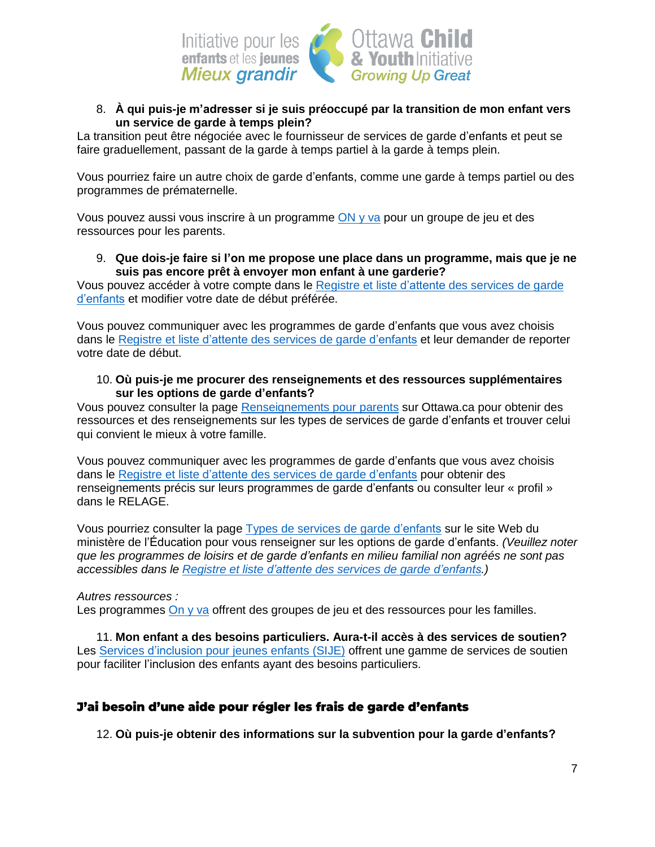

## <span id="page-6-0"></span>8. **À qui puis-je m'adresser si je suis préoccupé par la transition de mon enfant vers un service de garde à temps plein?**

La transition peut être négociée avec le fournisseur de services de garde d'enfants et peut se faire graduellement, passant de la garde à temps partiel à la garde à temps plein.

Vous pourriez faire un autre choix de garde d'enfants, comme une garde à temps partiel ou des programmes de prématernelle.

Vous pouvez aussi vous inscrire à un programme [ON](https://ottawa.ca/fr/famille-et-services-sociaux/services-lenfance/y-va) y va pour un groupe de jeu et des ressources pour les parents.

#### <span id="page-6-1"></span>9. **Que dois-je faire si l'on me propose une place dans un programme, mais que je ne suis pas encore prêt à envoyer mon enfant à une garderie?**

Vous pouvez accéder à votre compte dans le Registre et liste [d'attente](https://onehsn.com/Ottawa/fr/ux_2_0) des services de garde [d'enfants](https://onehsn.com/Ottawa/fr/ux_2_0) et modifier votre date de début préférée.

Vous pouvez communiquer avec les programmes de garde d'enfants que vous avez choisis dans le Registre et liste d'attente des services de garde [d'enfants](https://onehsn.com/Ottawa/fr/ux_2_0) et leur demander de reporter votre date de début.

### <span id="page-6-2"></span>10. **Où puis-je me procurer des renseignements et des ressources supplémentaires sur les options de garde d'enfants?**

Vous pouvez consulter la page [Renseignements](https://ottawa.ca/fr/famille-et-services-sociaux/services-lenfance/renseignements-pour-parents) pour parents sur Ottawa.ca pour obtenir des ressources et des renseignements sur les types de services de garde d'enfants et trouver celui qui convient le mieux à votre famille.

Vous pouvez communiquer avec les programmes de garde d'enfants que vous avez choisis dans le Registre et liste d'attente des services de garde [d'enfants](https://onehsn.com/Ottawa/fr/ux_2_0) pour obtenir des renseignements précis sur leurs programmes de garde d'enfants ou consulter leur « profil » dans le RELAGE.

Vous pourriez consulter la page Types de services de garde [d'enfants](https://www.ontario.ca/fr/page/types-de-services-de-garde-denfants) sur le site Web du ministère de l'Éducation pour vous renseigner sur les options de garde d'enfants. *(Veuillez noter que les programmes de loisirs et de garde d'enfants en milieu familial non agréés ne sont pas accessibles dans le Registre et liste d'attente des services de garde [d'enfants.](https://onehsn.com/Ottawa/fr/ux_2_0))*

## *Autres ressources :*

Les programmes [On](https://ottawa.ca/fr/famille-et-services-sociaux/services-lenfance/y-va) y va offrent des groupes de jeu et des ressources pour les familles.

<span id="page-6-3"></span>11. **Mon enfant a des besoins particuliers. Aura-t-il accès à des services de soutien?** Les Services [d'inclusion](https://www.afchildrensservices.ca/fr/soutien-et-services/services-dinclusion-pour-jeunes-enfants/) pour jeunes enfants (SIJE) offrent une gamme de services de soutien pour faciliter l'inclusion des enfants ayant des besoins particuliers.

# J'ai besoin d'une aide pour régler les frais de garde d'enfants

<span id="page-6-4"></span>12. **Où puis-je obtenir des informations sur la subvention pour la garde d'enfants?**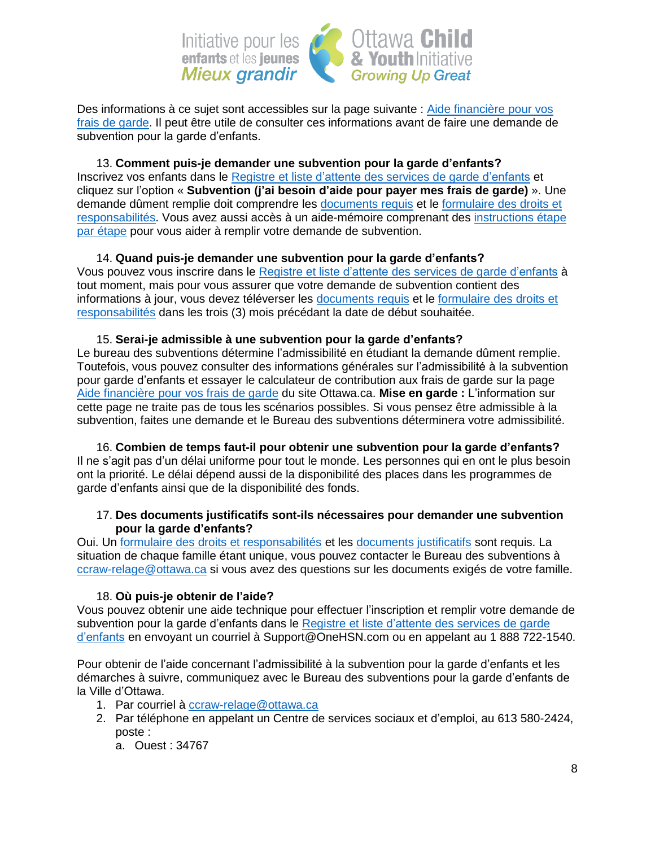

Des informations à ce sujet sont accessibles sur la page suivante : [Aide financière pour vos](https://ottawa.ca/fr/famille-et-services-sociaux/services-lenfance/aide-financiere-pour-vos-frais-de-garde)  [frais de garde.](https://ottawa.ca/fr/famille-et-services-sociaux/services-lenfance/aide-financiere-pour-vos-frais-de-garde) Il peut être utile de consulter ces informations avant de faire une demande de subvention pour la garde d'enfants.

<span id="page-7-0"></span>13. **Comment puis-je demander une subvention pour la garde d'enfants?** Inscrivez vos enfants dans le Registre et liste d'attente des services de garde [d'enfants](https://onehsn.com/Ottawa/fr/ux_2_0) et cliquez sur l'option « **Subvention (j'ai besoin d'aide pour payer mes frais de garde)** ». Une demande dûment remplie doit comprendre les [documents](https://app06.ottawa.ca/online_services/forms/childcare/documentChecklist_fr.pdf) requis et le [formulaire](https://app06.ottawa.ca/online_services/forms/childcare/rr_child_care_fee_subsidy_fr.pdf) des droits et [responsabilités.](https://app06.ottawa.ca/online_services/forms/childcare/rr_child_care_fee_subsidy_fr.pdf) Vous avez aussi accès à un aide-mémoire comprenant des [instructions](https://can01.safelinks.protection.outlook.com/?url=https%3A%2F%2Fonehsn.com%2Femailassets%2FOttawa%2FAide%25C3%25A0l%27emploipourlesSubventions.pdf&data=04%7C01%7CGinette.Perron%40ottawa.ca%7C39d6214d57394b32787c08d9f198098c%7Cdfcc033ddf874c6ea1b88eaa73f1b72e%7C0%7C0%7C637806458901699300%7CUnknown%7CTWFpbGZsb3d8eyJWIjoiMC4wLjAwMDAiLCJQIjoiV2luMzIiLCJBTiI6Ik1haWwiLCJXVCI6Mn0%3D%7C3000&sdata=a5BM6FwRTAAopMqIqVkw5MyP%2FRWpNOVLosAOkE2XduQ%3D&reserved=0) étape par [étape](https://can01.safelinks.protection.outlook.com/?url=https%3A%2F%2Fonehsn.com%2Femailassets%2FOttawa%2FAide%25C3%25A0l%27emploipourlesSubventions.pdf&data=04%7C01%7CGinette.Perron%40ottawa.ca%7C39d6214d57394b32787c08d9f198098c%7Cdfcc033ddf874c6ea1b88eaa73f1b72e%7C0%7C0%7C637806458901699300%7CUnknown%7CTWFpbGZsb3d8eyJWIjoiMC4wLjAwMDAiLCJQIjoiV2luMzIiLCJBTiI6Ik1haWwiLCJXVCI6Mn0%3D%7C3000&sdata=a5BM6FwRTAAopMqIqVkw5MyP%2FRWpNOVLosAOkE2XduQ%3D&reserved=0) pour vous aider à remplir votre demande de subvention.

<span id="page-7-1"></span>14. **Quand puis-je demander une subvention pour la garde d'enfants?** Vous pouvez vous inscrire dans le Registre et liste d'attente des services de garde [d'enfants](https://onehsn.com/Ottawa/fr/ux_2_0) à tout moment, mais pour vous assurer que votre demande de subvention contient des informations à jour, vous devez téléverser les [documents](https://app06.ottawa.ca/online_services/forms/childcare/documentChecklist_fr.pdf) requis et le [formulaire](https://app06.ottawa.ca/online_services/forms/childcare/rr_child_care_fee_subsidy_fr.pdf) des droits et [responsabilités](https://app06.ottawa.ca/online_services/forms/childcare/rr_child_care_fee_subsidy_fr.pdf) dans les trois (3) mois précédant la date de début souhaitée.

<span id="page-7-2"></span>15. **Serai-je admissible à une subvention pour la garde d'enfants?** Le bureau des subventions détermine l'admissibilité en étudiant la demande dûment remplie. Toutefois, vous pouvez consulter des informations générales sur l'admissibilité à la subvention pour garde d'enfants et essayer le calculateur de contribution aux frais de garde sur la page Aide [financière](https://ottawa.ca/fr/famille-et-services-sociaux/services-lenfance/aide-financiere-pour-vos-frais-de-garde) pour vos frais de garde du site Ottawa.ca. **Mise en garde :** L'information sur cette page ne traite pas de tous les scénarios possibles. Si vous pensez être admissible à la subvention, faites une demande et le Bureau des subventions déterminera votre admissibilité.

<span id="page-7-3"></span>16. **Combien de temps faut-il pour obtenir une subvention pour la garde d'enfants?** Il ne s'agit pas d'un délai uniforme pour tout le monde. Les personnes qui en ont le plus besoin ont la priorité. Le délai dépend aussi de la disponibilité des places dans les programmes de garde d'enfants ainsi que de la disponibilité des fonds.

### <span id="page-7-4"></span>17. **Des documents justificatifs sont-ils nécessaires pour demander une subvention pour la garde d'enfants?**

Oui. Un [formulaire des droits et responsabilités](https://app06.ottawa.ca/online_services/forms/childcare/rr_child_care_fee_subsidy_fr.pdf) et les [documents justificatifs](https://app06.ottawa.ca/online_services/forms/childcare/documentChecklist_fr.pdf) sont requis. La situation de chaque famille étant unique, vous pouvez contacter le Bureau des subventions à [ccraw-relage@ottawa.ca](mailto:ccraw-relage@ottawa.ca) si vous avez des questions sur les documents exigés de votre famille.

## 18. **Où puis-je obtenir de l'aide?**

<span id="page-7-5"></span>Vous pouvez obtenir une aide technique pour effectuer l'inscription et remplir votre demande de subvention pour la garde d'enfants dans le Registre et liste [d'attente](https://onehsn.com/Ottawa/fr/ux_2_0) des services de garde [d'enfants](https://onehsn.com/Ottawa/fr/ux_2_0) en envoyant un courriel à Support@OneHSN.com ou en appelant au 1 888 722-1540.

Pour obtenir de l'aide concernant l'admissibilité à la subvention pour la garde d'enfants et les démarches à suivre, communiquez avec le Bureau des subventions pour la garde d'enfants de la Ville d'Ottawa.

- 1. Par courriel à [ccraw-relage@ottawa.ca](mailto:ccraw-relage@ottawa.ca)
- 2. Par téléphone en appelant un Centre de services sociaux et d'emploi, au 613 580-2424, poste :
	- a. Ouest : 34767